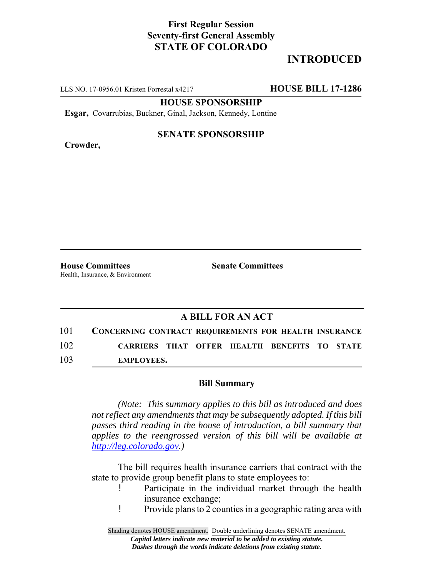## **First Regular Session Seventy-first General Assembly STATE OF COLORADO**

# **INTRODUCED**

LLS NO. 17-0956.01 Kristen Forrestal x4217 **HOUSE BILL 17-1286**

**HOUSE SPONSORSHIP**

**Esgar,** Covarrubias, Buckner, Ginal, Jackson, Kennedy, Lontine

**Crowder,**

#### **SENATE SPONSORSHIP**

**House Committees Senate Committees** Health, Insurance, & Environment

### **A BILL FOR AN ACT**

101 **CONCERNING CONTRACT REQUIREMENTS FOR HEALTH INSURANCE** 102 **CARRIERS THAT OFFER HEALTH BENEFITS TO STATE** 103 **EMPLOYEES.**

#### **Bill Summary**

*(Note: This summary applies to this bill as introduced and does not reflect any amendments that may be subsequently adopted. If this bill passes third reading in the house of introduction, a bill summary that applies to the reengrossed version of this bill will be available at http://leg.colorado.gov.)*

The bill requires health insurance carriers that contract with the state to provide group benefit plans to state employees to:

- Participate in the individual market through the health insurance exchange;
- ! Provide plans to 2 counties in a geographic rating area with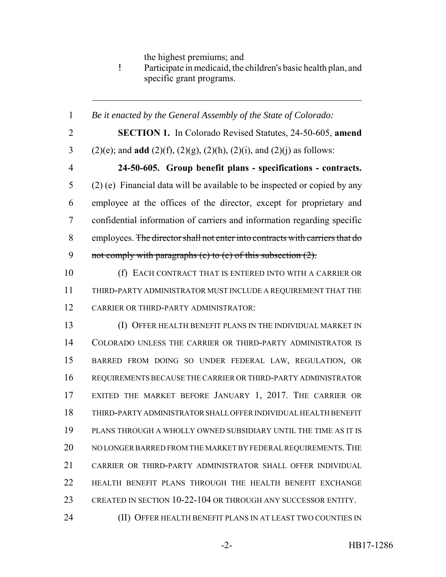the highest premiums; and

! Participate in medicaid, the children's basic health plan, and specific grant programs.

 *Be it enacted by the General Assembly of the State of Colorado:* **SECTION 1.** In Colorado Revised Statutes, 24-50-605, **amend** (2)(e); and **add** (2)(f), (2)(g), (2)(h), (2)(i), and (2)(j) as follows: **24-50-605. Group benefit plans - specifications - contracts.** (2) (e) Financial data will be available to be inspected or copied by any employee at the offices of the director, except for proprietary and confidential information of carriers and information regarding specific employees. The director shall not enter into contracts with carriers that do 9 not comply with paragraphs (c) to (e) of this subsection (2). (f) EACH CONTRACT THAT IS ENTERED INTO WITH A CARRIER OR THIRD-PARTY ADMINISTRATOR MUST INCLUDE A REQUIREMENT THAT THE CARRIER OR THIRD-PARTY ADMINISTRATOR: (I) OFFER HEALTH BENEFIT PLANS IN THE INDIVIDUAL MARKET IN COLORADO UNLESS THE CARRIER OR THIRD-PARTY ADMINISTRATOR IS BARRED FROM DOING SO UNDER FEDERAL LAW, REGULATION, OR REQUIREMENTS BECAUSE THE CARRIER OR THIRD-PARTY ADMINISTRATOR EXITED THE MARKET BEFORE JANUARY 1, 2017. THE CARRIER OR THIRD-PARTY ADMINISTRATOR SHALL OFFER INDIVIDUAL HEALTH BENEFIT PLANS THROUGH A WHOLLY OWNED SUBSIDIARY UNTIL THE TIME AS IT IS 20 NO LONGER BARRED FROM THE MARKET BY FEDERAL REQUIREMENTS. THE CARRIER OR THIRD-PARTY ADMINISTRATOR SHALL OFFER INDIVIDUAL HEALTH BENEFIT PLANS THROUGH THE HEALTH BENEFIT EXCHANGE CREATED IN SECTION 10-22-104 OR THROUGH ANY SUCCESSOR ENTITY. (II) OFFER HEALTH BENEFIT PLANS IN AT LEAST TWO COUNTIES IN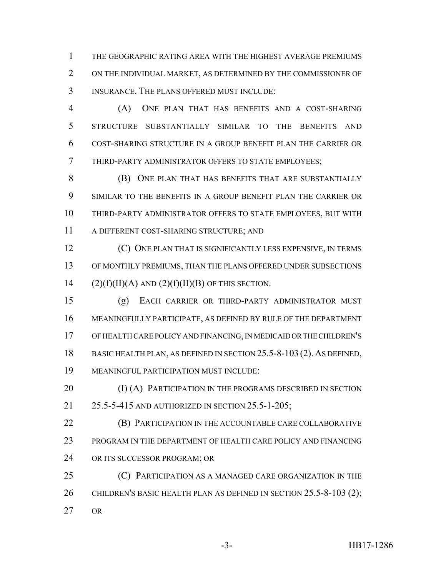THE GEOGRAPHIC RATING AREA WITH THE HIGHEST AVERAGE PREMIUMS ON THE INDIVIDUAL MARKET, AS DETERMINED BY THE COMMISSIONER OF INSURANCE. THE PLANS OFFERED MUST INCLUDE:

 (A) ONE PLAN THAT HAS BENEFITS AND A COST-SHARING STRUCTURE SUBSTANTIALLY SIMILAR TO THE BENEFITS AND COST-SHARING STRUCTURE IN A GROUP BENEFIT PLAN THE CARRIER OR THIRD-PARTY ADMINISTRATOR OFFERS TO STATE EMPLOYEES;

**(B)** ONE PLAN THAT HAS BENEFITS THAT ARE SUBSTANTIALLY SIMILAR TO THE BENEFITS IN A GROUP BENEFIT PLAN THE CARRIER OR THIRD-PARTY ADMINISTRATOR OFFERS TO STATE EMPLOYEES, BUT WITH A DIFFERENT COST-SHARING STRUCTURE; AND

 (C) ONE PLAN THAT IS SIGNIFICANTLY LESS EXPENSIVE, IN TERMS OF MONTHLY PREMIUMS, THAN THE PLANS OFFERED UNDER SUBSECTIONS 14 (2)(f)(II)(A) AND (2)(f)(II)(B) OF THIS SECTION.

 (g) EACH CARRIER OR THIRD-PARTY ADMINISTRATOR MUST MEANINGFULLY PARTICIPATE, AS DEFINED BY RULE OF THE DEPARTMENT OF HEALTH CARE POLICY AND FINANCING, IN MEDICAID OR THE CHILDREN'S 18 BASIC HEALTH PLAN, AS DEFINED IN SECTION 25.5-8-103 (2). AS DEFINED, MEANINGFUL PARTICIPATION MUST INCLUDE:

**(I) (A) PARTICIPATION IN THE PROGRAMS DESCRIBED IN SECTION** 25.5-5-415 AND AUTHORIZED IN SECTION 25.5-1-205;

 (B) PARTICIPATION IN THE ACCOUNTABLE CARE COLLABORATIVE PROGRAM IN THE DEPARTMENT OF HEALTH CARE POLICY AND FINANCING OR ITS SUCCESSOR PROGRAM; OR

 (C) PARTICIPATION AS A MANAGED CARE ORGANIZATION IN THE 26 CHILDREN'S BASIC HEALTH PLAN AS DEFINED IN SECTION 25.5-8-103 (2); OR